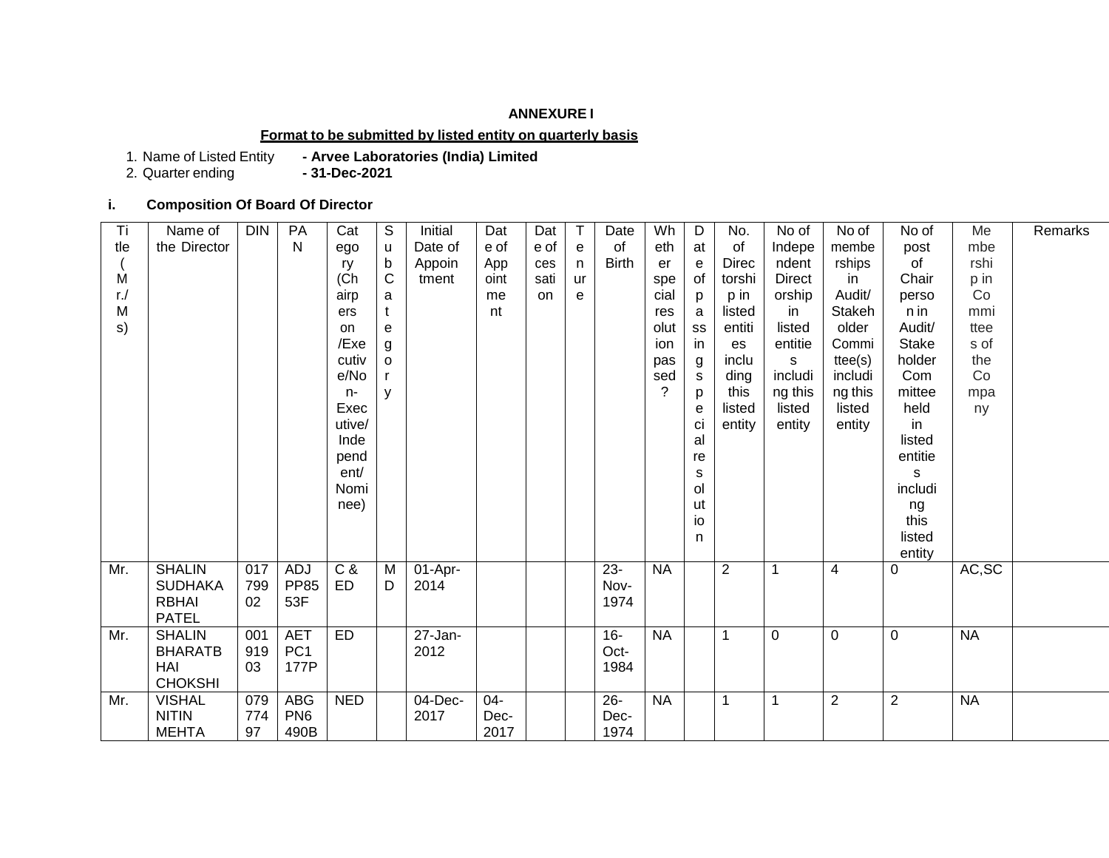## **ANNEXURE I**

#### **Format to be submitted by listed entity on quarterly basis**

1. Name of Listed Entity **- Arvee Laboratories (India) Limited**

2. Quarter ending

#### **i. Composition Of Board Of Director**

| Ti     | Name of        | <b>DIN</b> | PA              | Cat        | $\mathbb S$  | Initial               | Dat  | Dat  | T  | Date         | Wh             | D  | No.            | No of         | No of          | No of          | Me        | Remarks |
|--------|----------------|------------|-----------------|------------|--------------|-----------------------|------|------|----|--------------|----------------|----|----------------|---------------|----------------|----------------|-----------|---------|
| tle    | the Director   |            | N               | ego        | u            | Date of               | e of | e of | e  | of           | eth            | at | of             | Indepe        | membe          | post           | mbe       |         |
|        |                |            |                 | ry         | b            | Appoin                | App  | ces  | n  | <b>Birth</b> | er             | e  | <b>Direc</b>   | ndent         | rships         | of             | rshi      |         |
| M      |                |            |                 | (Ch)       | $\mathsf{C}$ | tment                 | oint | sati | ur |              | spe            | of | torshi         | <b>Direct</b> | in             | Chair          | p in      |         |
| $r$ ./ |                |            |                 | airp       | a            |                       | me   | on.  | е  |              | cial           | p  | p in           | orship        | Audit/         | perso          | Co        |         |
| Μ      |                |            |                 | ers        | t            |                       | nt   |      |    |              | res            | a  | listed         | in.           | Stakeh         | n in           | mmi       |         |
| s)     |                |            |                 | on         | e            |                       |      |      |    |              | olut           | SS | entiti         | listed        | older          | Audit/         | ttee      |         |
|        |                |            |                 | /Exe       | g            |                       |      |      |    |              | ion            | in | es             | entitie       | Commi          | <b>Stake</b>   | s of      |         |
|        |                |            |                 | cutiv      | o            |                       |      |      |    |              | pas            | g  | inclu          | s             | ttee(s)        | holder         | the       |         |
|        |                |            |                 | e/No       |              |                       |      |      |    |              | sed            | s  | ding           | includi       | includi        | Com            | Co        |         |
|        |                |            |                 | $n-$       | V            |                       |      |      |    |              | $\overline{?}$ | p  | this           | ng this       | ng this        | mittee         | mpa       |         |
|        |                |            |                 | Exec       |              |                       |      |      |    |              |                | e  | listed         | listed        | listed         | held           | ny        |         |
|        |                |            |                 | utive/     |              |                       |      |      |    |              |                | ci | entity         | entity        | entity         | in             |           |         |
|        |                |            |                 | Inde       |              |                       |      |      |    |              |                | al |                |               |                | listed         |           |         |
|        |                |            |                 | pend       |              |                       |      |      |    |              |                | re |                |               |                | entitie        |           |         |
|        |                |            |                 | ent/       |              |                       |      |      |    |              |                | s  |                |               |                | S              |           |         |
|        |                |            |                 | Nomi       |              |                       |      |      |    |              |                | ol |                |               |                | includi        |           |         |
|        |                |            |                 | nee)       |              |                       |      |      |    |              |                | ut |                |               |                | ng             |           |         |
|        |                |            |                 |            |              |                       |      |      |    |              |                | io |                |               |                | this           |           |         |
|        |                |            |                 |            |              |                       |      |      |    |              |                | n  |                |               |                | listed         |           |         |
|        |                |            |                 |            |              |                       |      |      |    |              |                |    |                |               |                | entity         |           |         |
| Mr.    | <b>SHALIN</b>  | 017        | <b>ADJ</b>      | C &        | M            | 01-Apr-               |      |      |    | $23 -$       | <b>NA</b>      |    | 2              | $\mathbf 1$   | 4              | $\mathbf 0$    | AC, SC    |         |
|        | <b>SUDHAKA</b> | 799        | <b>PP85</b>     | ED         | D            | 2014                  |      |      |    | Nov-         |                |    |                |               |                |                |           |         |
|        | <b>RBHAI</b>   | 02         | 53F             |            |              |                       |      |      |    | 1974         |                |    |                |               |                |                |           |         |
|        | <b>PATEL</b>   |            |                 |            |              |                       |      |      |    |              |                |    |                |               |                |                |           |         |
| Mr.    | <b>SHALIN</b>  | 001        | <b>AET</b>      | ED         |              | $\overline{27}$ -Jan- |      |      |    | $16-$        | <b>NA</b>      |    | $\overline{1}$ | $\mathbf 0$   | $\Omega$       | $\mathbf 0$    | <b>NA</b> |         |
|        | <b>BHARATB</b> | 919        | PC <sub>1</sub> |            |              | 2012                  |      |      |    | Oct-         |                |    |                |               |                |                |           |         |
|        | HAI            | 03         | 177P            |            |              |                       |      |      |    | 1984         |                |    |                |               |                |                |           |         |
|        | <b>CHOKSHI</b> |            |                 |            |              |                       |      |      |    |              |                |    |                |               |                |                |           |         |
| Mr.    | <b>VISHAL</b>  | 079        | <b>ABG</b>      | <b>NED</b> |              | 04-Dec-               | 04-  |      |    | $26 -$       | <b>NA</b>      |    | $\mathbf 1$    |               | $\overline{2}$ | $\overline{2}$ | <b>NA</b> |         |
|        | <b>NITIN</b>   | 774        | PN <sub>6</sub> |            |              | 2017                  | Dec- |      |    | Dec-         |                |    |                |               |                |                |           |         |
|        | <b>MEHTA</b>   | 97         | 490B            |            |              |                       | 2017 |      |    | 1974         |                |    |                |               |                |                |           |         |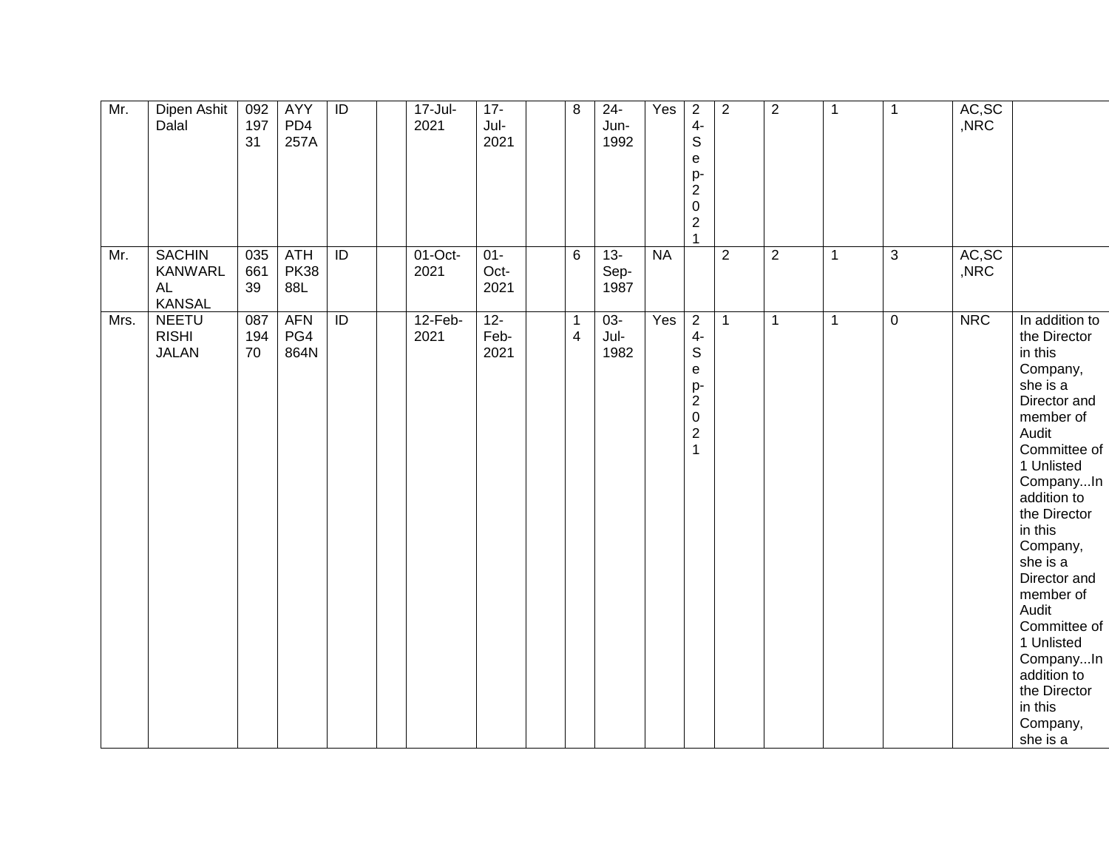| Mr. | Dipen Ashit<br>Dalal                                          | 092<br>197<br>31 | <b>AYY</b><br>PD4<br>257A        | $\overline{1}$  | $17 -$ Jul-<br>2021 | $17 -$<br>Jul-<br>2021 | 8                              | $24 -$<br>Jun-<br>1992 | Yes       | $\overline{2}$<br>$4-$<br>$\mathbb S$<br>$\mathsf e$<br>p-<br>$\boldsymbol{2}$<br>$\pmb{0}$<br>$\overline{c}$<br>$\mathbf{1}$ | 2              | $\overline{2}$ | $\mathbf{1}$ | $\mathbf{1}$ | AC, SC<br>,NRC |                                                                                                                                                                                                                                                                                                                                                                         |
|-----|---------------------------------------------------------------|------------------|----------------------------------|-----------------|---------------------|------------------------|--------------------------------|------------------------|-----------|-------------------------------------------------------------------------------------------------------------------------------|----------------|----------------|--------------|--------------|----------------|-------------------------------------------------------------------------------------------------------------------------------------------------------------------------------------------------------------------------------------------------------------------------------------------------------------------------------------------------------------------------|
| Mr. | <b>SACHIN</b><br><b>KANWARL</b><br><b>AL</b><br><b>KANSAL</b> | 035<br>661<br>39 | <b>ATH</b><br><b>PK38</b><br>88L | $\overline{ID}$ | $01$ -Oct-<br>2021  | $01 -$<br>Oct-<br>2021 | $6\phantom{1}$                 | $13 -$<br>Sep-<br>1987 | <b>NA</b> |                                                                                                                               | $\overline{2}$ | $\overline{2}$ | $\mathbf{1}$ | 3            | AC, SC<br>,NRC |                                                                                                                                                                                                                                                                                                                                                                         |
|     | <b>NEETU</b><br>Mrs.<br><b>RISHI</b><br><b>JALAN</b>          | 087<br>194<br>70 | <b>AFN</b><br>PG4<br>864N        | ID              | $12-Feb-$<br>2021   | $12 -$<br>Feb-<br>2021 | $\mathbf{1}$<br>$\overline{4}$ | $03 -$<br>Jul-<br>1982 | Yes       | $\overline{2}$<br>$4-$<br>$\mathbb S$<br>e<br>p-<br>$\overline{c}$<br>$\pmb{0}$<br>$\sqrt{2}$<br>$\overline{1}$               | $\mathbf{1}$   | $\mathbf 1$    | $\mathbf{1}$ | $\mathbf 0$  | <b>NRC</b>     | In addition to<br>the Director<br>in this<br>Company,<br>she is a<br>Director and<br>member of<br>Audit<br>Committee of<br>1 Unlisted<br>CompanyIn<br>addition to<br>the Director<br>in this<br>Company,<br>she is a<br>Director and<br>member of<br>Audit<br>Committee of<br>1 Unlisted<br>CompanyIn<br>addition to<br>the Director<br>in this<br>Company,<br>she is a |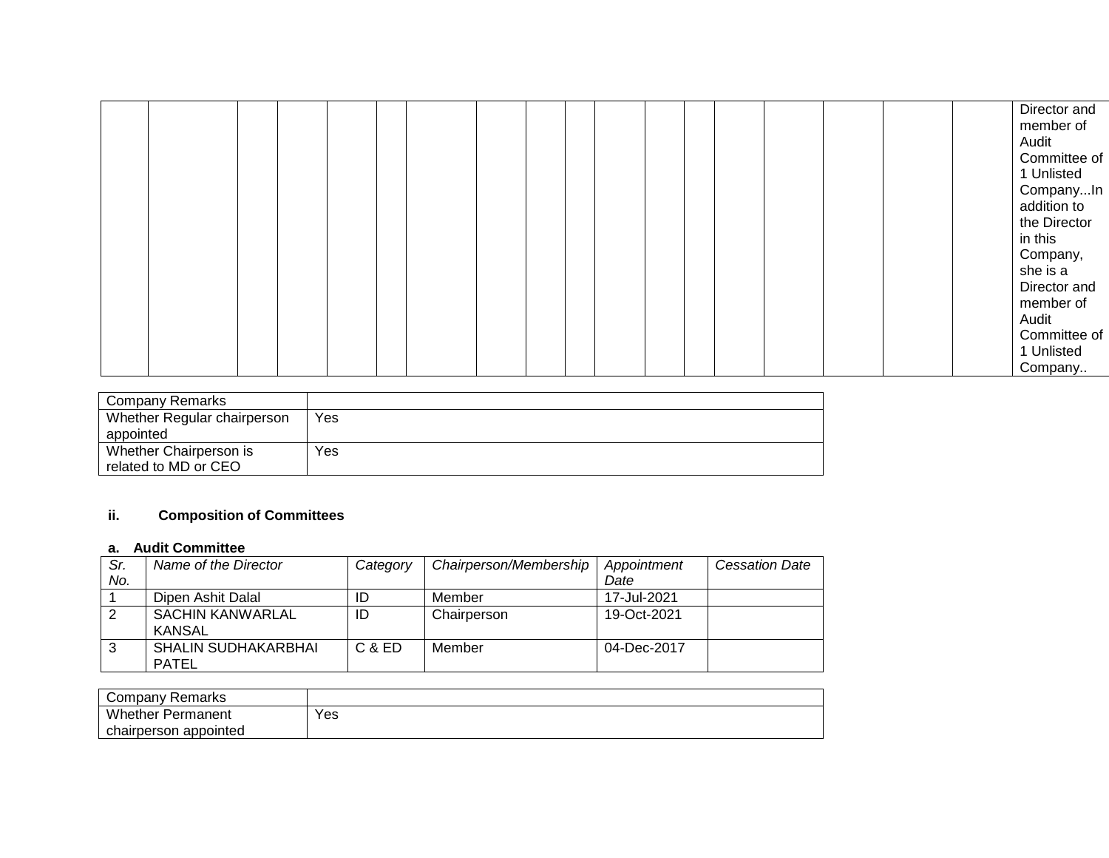|  |  |  |  |  |  |  |  |  |  |  |  |  |  |  |  |  |  | Director and<br>member of<br>Audit<br>Committee of<br>1 Unlisted<br>CompanyIn<br>addition to<br>the Director<br>in this<br>Company,<br>she is a<br>Director and<br>member of<br>Audit<br>Committee of<br>1 Unlisted<br>Company |
|--|--|--|--|--|--|--|--|--|--|--|--|--|--|--|--|--|--|--------------------------------------------------------------------------------------------------------------------------------------------------------------------------------------------------------------------------------|
|--|--|--|--|--|--|--|--|--|--|--|--|--|--|--|--|--|--|--------------------------------------------------------------------------------------------------------------------------------------------------------------------------------------------------------------------------------|

| Company Remarks             |     |
|-----------------------------|-----|
| Whether Regular chairperson | Yes |
| appointed                   |     |
| Whether Chairperson is      | Yes |
| related to MD or CEO        |     |

# **ii. Composition of Committees**

### **a. Audit Committee**

| Sr. | Name of the Director       | Category | Chairperson/Membership | Appointment | <b>Cessation Date</b> |
|-----|----------------------------|----------|------------------------|-------------|-----------------------|
| No. |                            |          |                        | Date        |                       |
|     | Dipen Ashit Dalal          | ID       | Member                 | 17-Jul-2021 |                       |
|     | <b>SACHIN KANWARLAL</b>    | ID       | Chairperson            | 19-Oct-2021 |                       |
|     | KANSAL                     |          |                        |             |                       |
| 3   | <b>SHALIN SUDHAKARBHAI</b> | C & ED   | Member                 | 04-Dec-2017 |                       |
|     | <b>PATEL</b>               |          |                        |             |                       |

| Company Remarks          |     |
|--------------------------|-----|
| <b>Whether Permanent</b> | Yes |
| appointed<br>chairperson |     |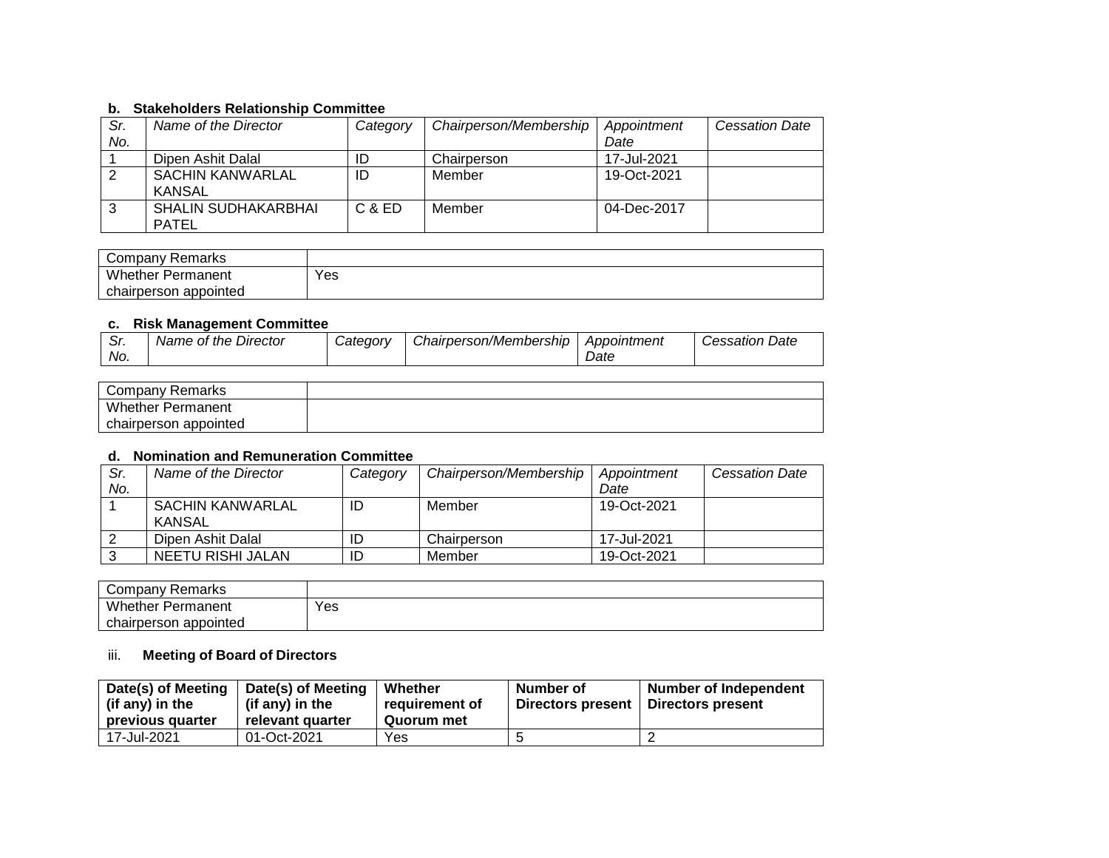### **b. Stakeholders Relationship Committee**

| Sr. | Name of the Director       | Category | Chairperson/Membership | Appointment | <b>Cessation Date</b> |
|-----|----------------------------|----------|------------------------|-------------|-----------------------|
| No. |                            |          |                        | Date        |                       |
|     | Dipen Ashit Dalal          | ID       | Chairperson            | 17-Jul-2021 |                       |
|     | SACHIN KANWARLAL           | ID       | Member                 | 19-Oct-2021 |                       |
|     | <b>KANSAL</b>              |          |                        |             |                       |
|     | <b>SHALIN SUDHAKARBHAI</b> | C & ED   | Member                 | 04-Dec-2017 |                       |
|     | PATEL                      |          |                        |             |                       |

| Company Remarks          |     |
|--------------------------|-----|
| <b>Whether Permanent</b> | Yes |
| chairperson appointed    |     |

#### **c. Risk Management Committee**

| --         |                         |                 |                        |             |                          |
|------------|-------------------------|-----------------|------------------------|-------------|--------------------------|
| ົ.<br>. اب | Director<br>Name of the | <i>Category</i> | Chairperson/Membership | Appointment | Date<br><i>Cessation</i> |
| No.        |                         |                 |                        | Date        |                          |

| Company Remarks          |  |
|--------------------------|--|
| <b>Whether Permanent</b> |  |
| chairperson appointed    |  |

### **d. Nomination and Remuneration Committee**

| Sr. | Name of the Director              | Category | Chairperson/Membership | Appointment | <b>Cessation Date</b> |
|-----|-----------------------------------|----------|------------------------|-------------|-----------------------|
| No. |                                   |          |                        | Date        |                       |
|     | SACHIN KANWARLAL<br><b>KANSAL</b> | ID       | Member                 | 19-Oct-2021 |                       |
|     | Dipen Ashit Dalal                 | ID       | Chairperson            | 17-Jul-2021 |                       |
|     | NEETU RISHI JALAN                 | ID       | Member                 | 19-Oct-2021 |                       |

| Remarks<br>∵ompany ت     |     |
|--------------------------|-----|
| Whether,<br>Permanent    | Yes |
| appointed<br>chairperson |     |

# iii. **Meeting of Board of Directors**

| Date(s) of Meeting | Date(s) of Meeting | Whether        | Number of                | <b>Number of Independent</b> |
|--------------------|--------------------|----------------|--------------------------|------------------------------|
| (if any) in the    | (if any) in the    | requirement of | <b>Directors present</b> | Directors present            |
| previous quarter   | relevant quarter   | Quorum met     |                          |                              |
| 17-Jul-2021        | 01-Oct-2021        | Yes            |                          |                              |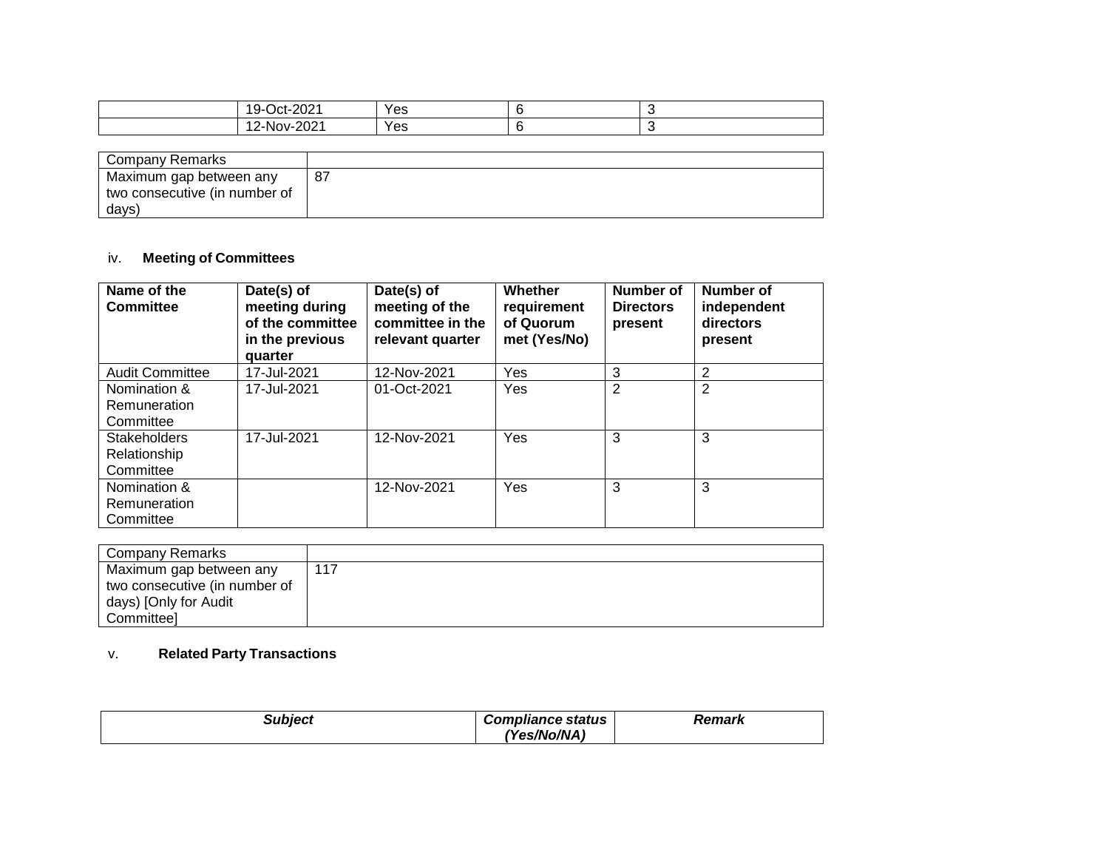| $\mathbf{a} \cdot \mathbf{b}$<br>19-<br>$\tilde{\phantom{a}}$<br>_____ | Yes |  |
|------------------------------------------------------------------------|-----|--|
| $\sim$ $\sim$ $\sim$<br>.<br>י מר זמו<br>- UZ<br>∼                     | Yes |  |

| <b>Company Remarks</b>        |    |
|-------------------------------|----|
| Maximum gap between any       | 87 |
| two consecutive (in number of |    |
| days)                         |    |

## iv. **Meeting of Committees**

| Name of the<br><b>Committee</b>                  | Date(s) of<br>meeting during<br>of the committee<br>in the previous<br>quarter | Date(s) of<br>meeting of the<br>committee in the<br>relevant quarter | Whether<br>requirement<br>of Quorum<br>met (Yes/No) | Number of<br><b>Directors</b><br>present | <b>Number of</b><br>independent<br>directors<br>present |
|--------------------------------------------------|--------------------------------------------------------------------------------|----------------------------------------------------------------------|-----------------------------------------------------|------------------------------------------|---------------------------------------------------------|
| <b>Audit Committee</b>                           | 17-Jul-2021                                                                    | 12-Nov-2021                                                          | Yes                                                 | 3                                        | 2                                                       |
| Nomination &<br>Remuneration<br>Committee        | 17-Jul-2021                                                                    | 01-Oct-2021                                                          | Yes                                                 | $\overline{2}$                           | 2                                                       |
| <b>Stakeholders</b><br>Relationship<br>Committee | 17-Jul-2021                                                                    | 12-Nov-2021                                                          | Yes                                                 | 3                                        | 3                                                       |
| Nomination &<br>Remuneration<br>Committee        |                                                                                | 12-Nov-2021                                                          | Yes                                                 | 3                                        | 3                                                       |

| Company Remarks               |     |
|-------------------------------|-----|
| Maximum gap between any       | 117 |
| two consecutive (in number of |     |
| days) [Only for Audit         |     |
| Committee]                    |     |

# v. **Related Party Transactions**

| <b>Subject</b> | <b>Compliance status</b> | Remark |
|----------------|--------------------------|--------|
|                | (Yes/No/NA)              |        |